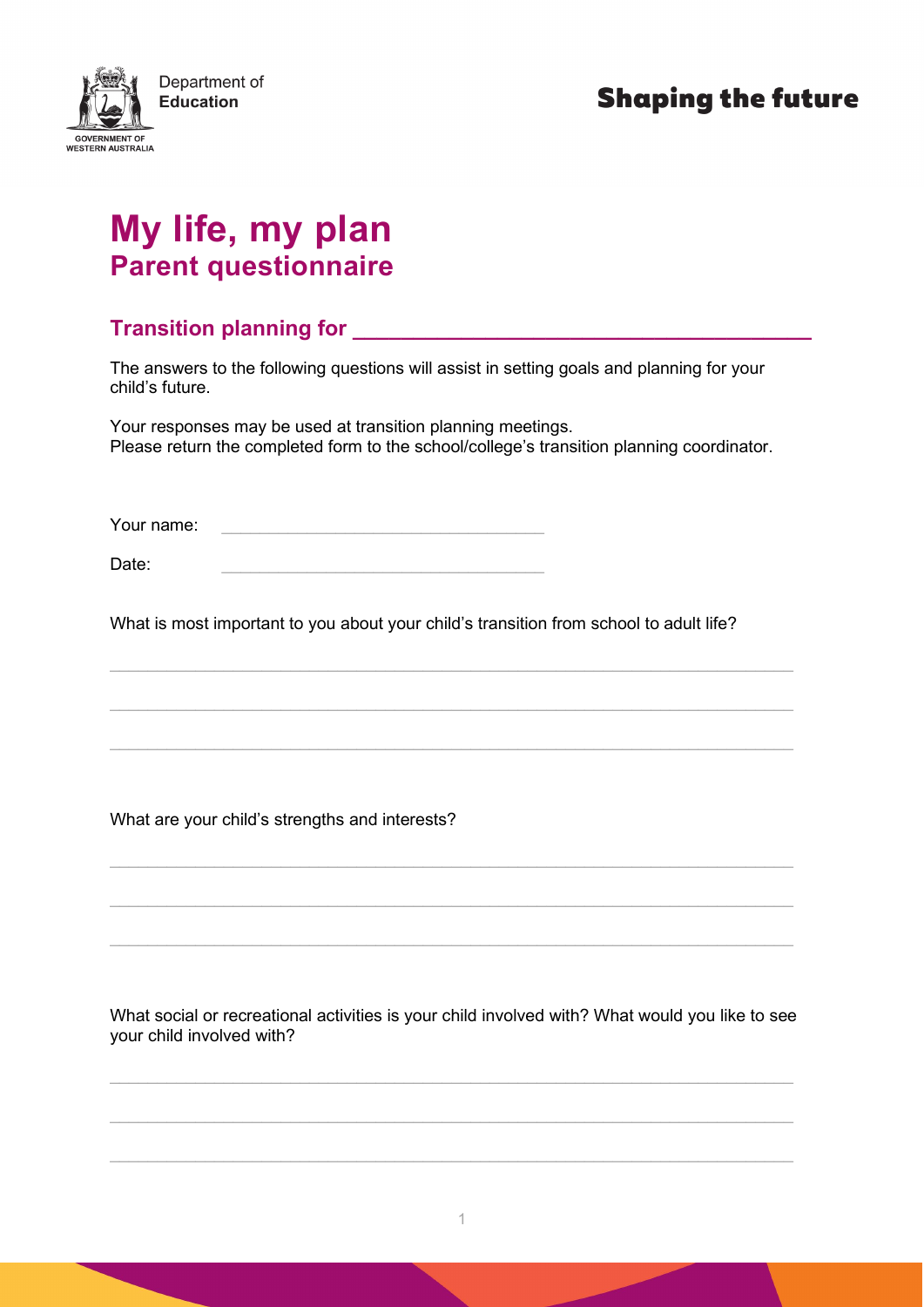

## **My life, my plan Parent questionnaire**

## **Transition planning for**

The answers to the following questions will assist in setting goals and planning for your child's future.

Your responses may be used at transition planning meetings. Please return the completed form to the school/college's transition planning coordinator.

Your name:

Date: \_\_\_\_\_\_\_\_\_\_\_\_\_\_\_\_\_\_\_\_\_\_\_\_\_\_\_\_\_\_\_\_\_\_

What is most important to you about your child's transition from school to adult life?

 $\_$  , and the set of the set of the set of the set of the set of the set of the set of the set of the set of the set of the set of the set of the set of the set of the set of the set of the set of the set of the set of th

\_\_\_\_\_\_\_\_\_\_\_\_\_\_\_\_\_\_\_\_\_\_\_\_\_\_\_\_\_\_\_\_\_\_\_\_\_\_\_\_\_\_\_\_\_\_\_\_\_\_\_\_\_\_\_\_\_\_\_\_\_\_\_\_\_\_\_\_\_\_\_\_

 $\_$  , and the set of the set of the set of the set of the set of the set of the set of the set of the set of the set of the set of the set of the set of the set of the set of the set of the set of the set of the set of th

 $\_$  , and the set of the set of the set of the set of the set of the set of the set of the set of the set of the set of the set of the set of the set of the set of the set of the set of the set of the set of the set of th

 $\_$  , and the set of the set of the set of the set of the set of the set of the set of the set of the set of the set of the set of the set of the set of the set of the set of the set of the set of the set of the set of th

 $\_$  , and the set of the set of the set of the set of the set of the set of the set of the set of the set of the set of the set of the set of the set of the set of the set of the set of the set of the set of the set of th

What are your child's strengths and interests?

What social or recreational activities is your child involved with? What would you like to see your child involved with?

 $\_$  , and the set of the set of the set of the set of the set of the set of the set of the set of the set of the set of the set of the set of the set of the set of the set of the set of the set of the set of the set of th

 $\_$  , and the set of the set of the set of the set of the set of the set of the set of the set of the set of the set of the set of the set of the set of the set of the set of the set of the set of the set of the set of th

 $\_$  , and the set of the set of the set of the set of the set of the set of the set of the set of the set of the set of the set of the set of the set of the set of the set of the set of the set of the set of the set of th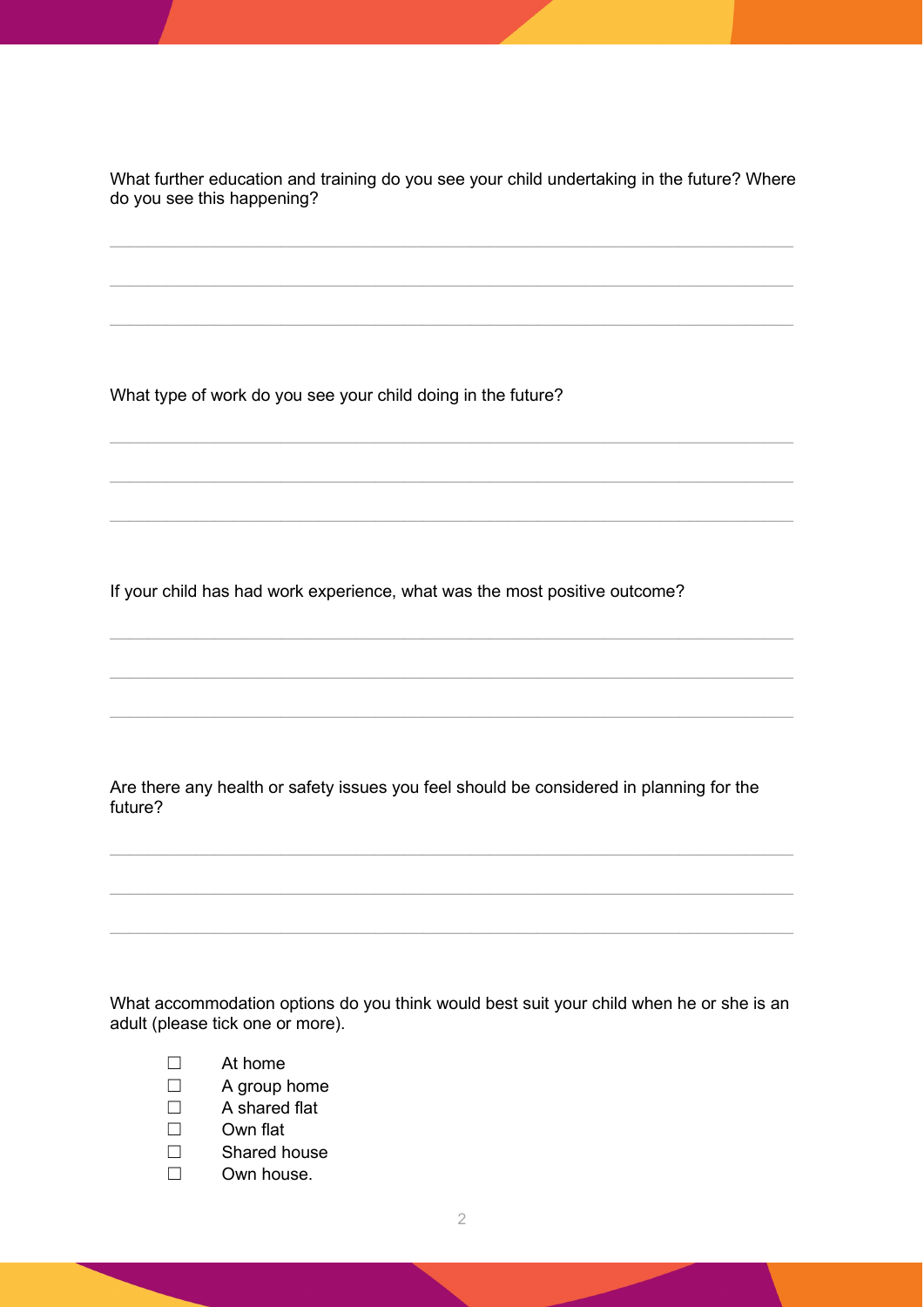What further education and training do you see your child undertaking in the future? Where do you see this happening?

 $\_$  , and the set of the set of the set of the set of the set of the set of the set of the set of the set of the set of the set of the set of the set of the set of the set of the set of the set of the set of the set of th

 $\_$  , and the set of the set of the set of the set of the set of the set of the set of the set of the set of the set of the set of the set of the set of the set of the set of the set of the set of the set of the set of th

 $\_$  , and the set of the set of the set of the set of the set of the set of the set of the set of the set of the set of the set of the set of the set of the set of the set of the set of the set of the set of the set of th

 $\_$  , and the set of the set of the set of the set of the set of the set of the set of the set of the set of the set of the set of the set of the set of the set of the set of the set of the set of the set of the set of th

 $\_$  , and the set of the set of the set of the set of the set of the set of the set of the set of the set of the set of the set of the set of the set of the set of the set of the set of the set of the set of the set of th

 $\_$  , and the set of the set of the set of the set of the set of the set of the set of the set of the set of the set of the set of the set of the set of the set of the set of the set of the set of the set of the set of th

 $\_$  , and the set of the set of the set of the set of the set of the set of the set of the set of the set of the set of the set of the set of the set of the set of the set of the set of the set of the set of the set of th

 $\_$  , and the set of the set of the set of the set of the set of the set of the set of the set of the set of the set of the set of the set of the set of the set of the set of the set of the set of the set of the set of th

 $\_$  , and the set of the set of the set of the set of the set of the set of the set of the set of the set of the set of the set of the set of the set of the set of the set of the set of the set of the set of the set of th

What type of work do you see your child doing in the future?

If your child has had work experience, what was the most positive outcome?

Are there any health or safety issues you feel should be considered in planning for the future?

 $\_$  , and the set of the set of the set of the set of the set of the set of the set of the set of the set of the set of the set of the set of the set of the set of the set of the set of the set of the set of the set of th

 $\_$  , and the set of the set of the set of the set of the set of the set of the set of the set of the set of the set of the set of the set of the set of the set of the set of the set of the set of the set of the set of th

 $\_$  , and the set of the set of the set of the set of the set of the set of the set of the set of the set of the set of the set of the set of the set of the set of the set of the set of the set of the set of the set of th

What accommodation options do you think would best suit your child when he or she is an adult (please tick one or more).

- ☐ At home
- ☐ A group home
- ☐ A shared flat
- ☐ Own flat
- ☐ Shared house
- ☐ Own house.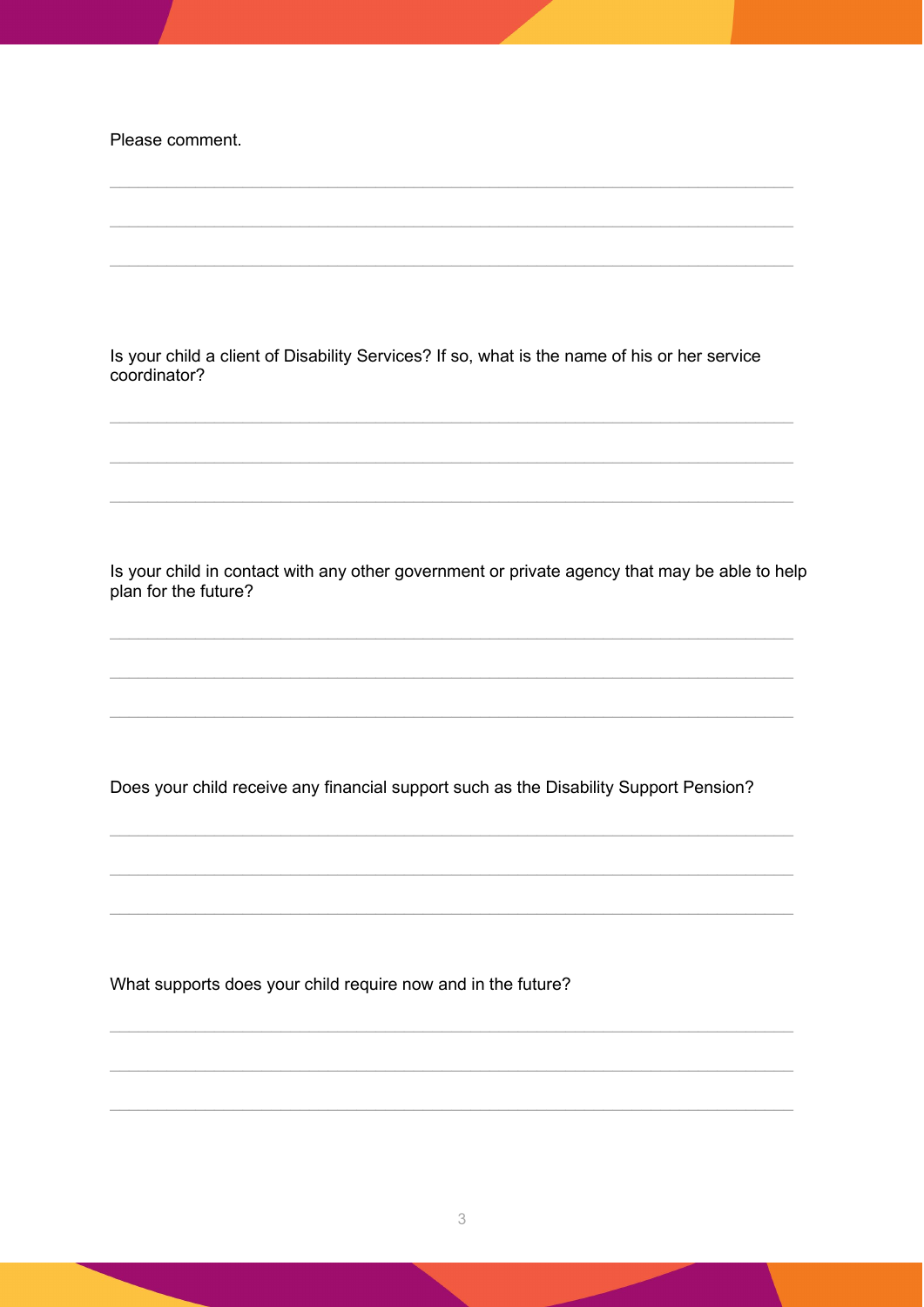Please comment.

Is your child a client of Disability Services? If so, what is the name of his or her service coordinator?

Is your child in contact with any other government or private agency that may be able to help plan for the future?

Does your child receive any financial support such as the Disability Support Pension?

What supports does your child require now and in the future?

3